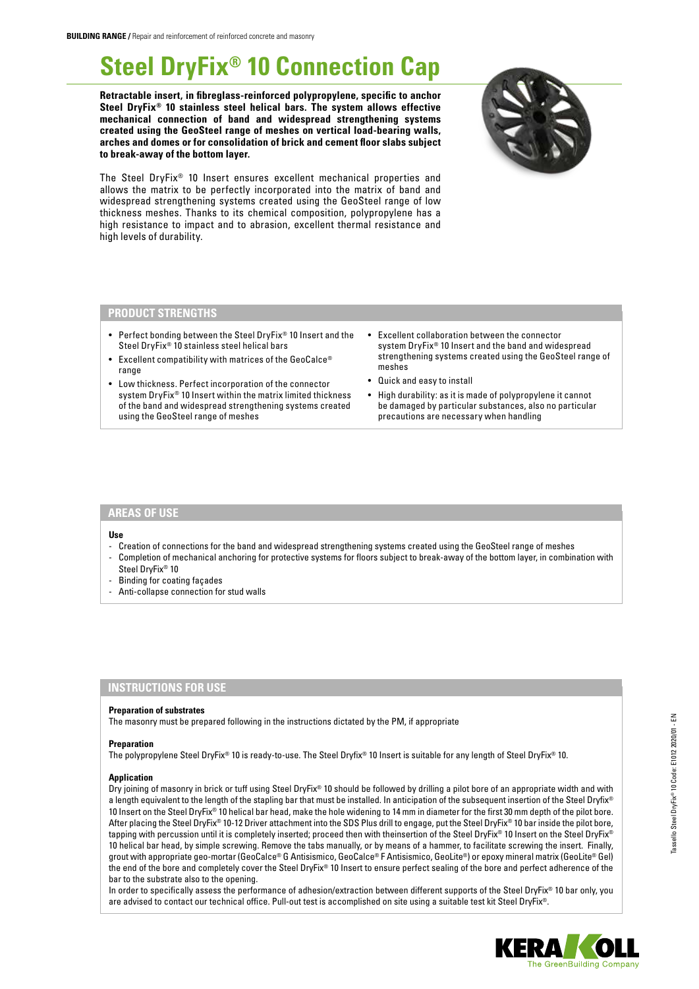# **Steel DryFix® 10 Connection Cap**

**Retractable insert, in fibreglass-reinforced polypropylene, specific to anchor Steel DryFix® 10 stainless steel helical bars. The system allows effective mechanical connection of band and widespread strengthening systems created using the GeoSteel range of meshes on vertical load-bearing walls, arches and domes or for consolidation of brick and cement floor slabs subject to break-away of the bottom layer.**



The Steel DryFix® 10 Insert ensures excellent mechanical properties and allows the matrix to be perfectly incorporated into the matrix of band and widespread strengthening systems created using the GeoSteel range of low thickness meshes. Thanks to its chemical composition, polypropylene has a high resistance to impact and to abrasion, excellent thermal resistance and high levels of durability.

## **PRODUCT STRENGTHS**

- Perfect bonding between the Steel DryFix® 10 Insert and the Steel DryFix® 10 stainless steel helical bars
- Excellent compatibility with matrices of the GeoCalce® range
- Low thickness. Perfect incorporation of the connector system DryFix® 10 Insert within the matrix limited thickness of the band and widespread strengthening systems created using the GeoSteel range of meshes
- Excellent collaboration between the connector system DryFix® 10 Insert and the band and widespread strengthening systems created using the GeoSteel range of meshes
- Quick and easy to install
- High durability: as it is made of polypropylene it cannot be damaged by particular substances, also no particular precautions are necessary when handling

## **AREAS OF USE**

#### **Use**

- Creation of connections for the band and widespread strengthening systems created using the GeoSteel range of meshes
- Completion of mechanical anchoring for protective systems for floors subject to break-away of the bottom layer, in combination with Steel DryFix® 10
- Binding for coating façades
- Anti-collapse connection for stud walls

# **INSTRUCTIONS FOR USE**

#### **Preparation of substrates**

The masonry must be prepared following in the instructions dictated by the PM, if appropriate

#### **Preparation**

The polypropylene Steel DryFix® 10 is ready-to-use. The Steel Dryfix® 10 Insert is suitable for any length of Steel DryFix® 10.

#### **Application**

Dry joining of masonry in brick or tuff using Steel DryFix® 10 should be followed by drilling a pilot bore of an appropriate width and with a length equivalent to the length of the stapling bar that must be installed. In anticipation of the subsequent insertion of the Steel Dryfix® 10 Insert on the Steel DryFix® 10 helical bar head, make the hole widening to 14 mm in diameter for the first 30 mm depth of the pilot bore. After placing the Steel DryFix® 10-12 Driver attachment into the SDS Plus drill to engage, put the Steel DryFix® 10 bar inside the pilot bore, tapping with percussion until it is completely inserted; proceed then with theinsertion of the Steel DryFix® 10 Insert on the Steel DryFix® 10 helical bar head, by simple screwing. Remove the tabs manually, or by means of a hammer, to facilitate screwing the insert. Finally, grout with appropriate geo-mortar (GeoCalce® G Antisismico, GeoCalce® F Antisismico, GeoLite®) or epoxy mineral matrix (GeoLite® Gel) the end of the bore and completely cover the Steel DryFix® 10 Insert to ensure perfect sealing of the bore and perfect adherence of the bar to the substrate also to the opening.

In order to specifically assess the performance of adhesion/extraction between different supports of the Steel DryFix® 10 bar only, you are advised to contact our technical office. Pull-out test is accomplished on site using a suitable test kit Steel DryFix®.